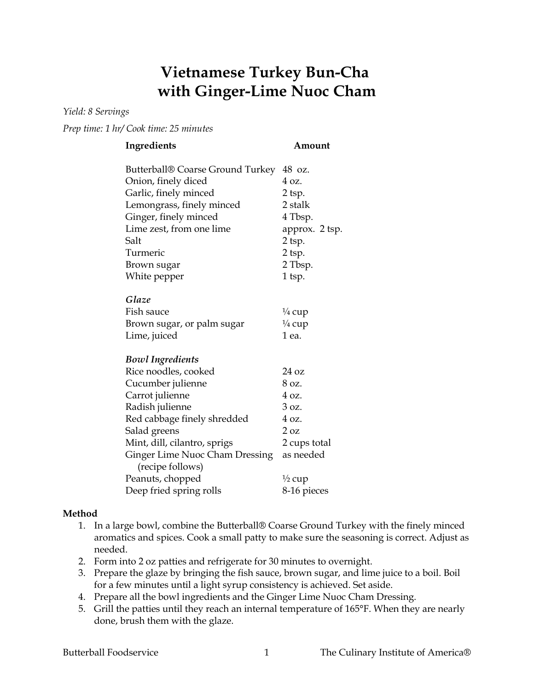## **Vietnamese Turkey Bun-Cha with Ginger-Lime Nuoc Cham**

*Yield: 8 Servings*

*Prep time: 1 hr/ Cook time: 25 minutes*

| Ingredients                                        | Amount            |
|----------------------------------------------------|-------------------|
| Butterball® Coarse Ground Turkey                   | 48 oz.            |
| Onion, finely diced                                | 4 oz.             |
| Garlic, finely minced                              | 2 tsp.            |
| Lemongrass, finely minced                          | 2 stalk           |
| Ginger, finely minced                              | 4 Tbsp.           |
| Lime zest, from one lime                           | approx. 2 tsp.    |
| Salt                                               | 2 tsp.            |
| Turmeric                                           | $2$ tsp.          |
| Brown sugar                                        | 2 Tbsp.           |
| White pepper                                       | 1 tsp.            |
| Glaze                                              |                   |
| Fish sauce                                         | $\frac{1}{4}$ cup |
| Brown sugar, or palm sugar                         | $\frac{1}{4}$ cup |
| Lime, juiced                                       | 1 ea.             |
| <b>Bowl Ingredients</b>                            |                   |
| Rice noodles, cooked                               | 24 oz             |
| Cucumber julienne                                  | 8 oz.             |
| Carrot julienne                                    | 4 oz.             |
| Radish julienne                                    | 3 oz.             |
| Red cabbage finely shredded                        | 4 oz.             |
| Salad greens                                       | 2 oz              |
| Mint, dill, cilantro, sprigs                       | 2 cups total      |
| Ginger Lime Nuoc Cham Dressing<br>(recipe follows) | as needed         |
| Peanuts, chopped                                   | $\frac{1}{2}$ cup |
| Deep fried spring rolls                            | 8-16 pieces       |

## **Method**

- 1. In a large bowl, combine the Butterball® Coarse Ground Turkey with the finely minced aromatics and spices. Cook a small patty to make sure the seasoning is correct. Adjust as needed.
- 2. Form into 2 oz patties and refrigerate for 30 minutes to overnight.
- 3. Prepare the glaze by bringing the fish sauce, brown sugar, and lime juice to a boil. Boil for a few minutes until a light syrup consistency is achieved. Set aside.
- 4. Prepare all the bowl ingredients and the Ginger Lime Nuoc Cham Dressing.
- 5. Grill the patties until they reach an internal temperature of 165°F. When they are nearly done, brush them with the glaze.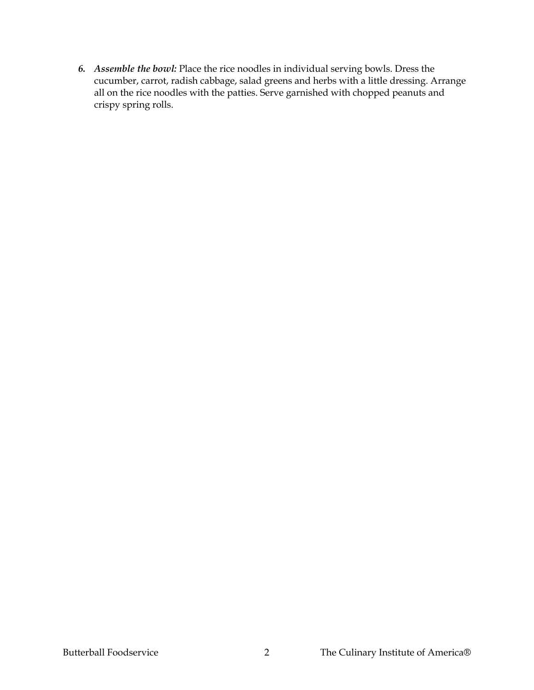*6. Assemble the bowl:* Place the rice noodles in individual serving bowls. Dress the cucumber, carrot, radish cabbage, salad greens and herbs with a little dressing. Arrange all on the rice noodles with the patties. Serve garnished with chopped peanuts and crispy spring rolls.